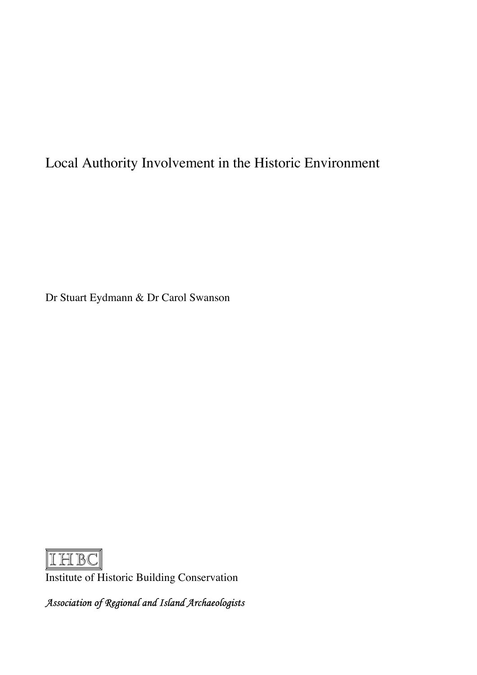## Local Authority Involvement in the Historic Environment

Dr Stuart Eydmann & Dr Carol Swanson



Institute of Historic Building Conservation

Association of Regional and Island Archaeologists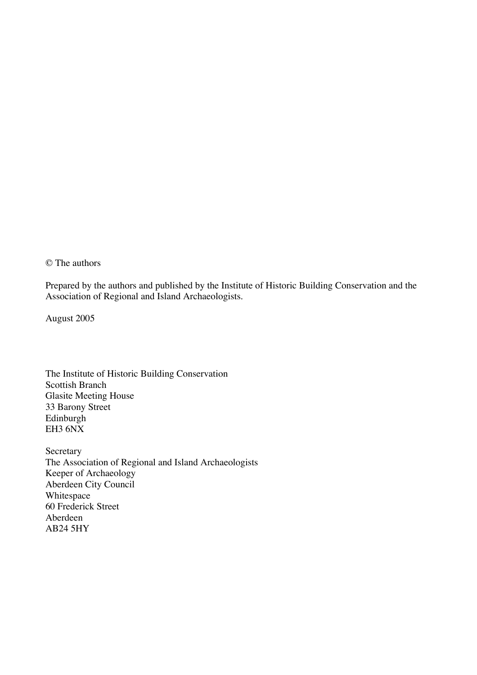© The authors

Prepared by the authors and published by the Institute of Historic Building Conservation and the Association of Regional and Island Archaeologists.

August 2005

The Institute of Historic Building Conservation Scottish Branch Glasite Meeting House 33 Barony Street Edinburgh EH3 6NX

Secretary The Association of Regional and Island Archaeologists Keeper of Archaeology Aberdeen City Council Whitespace 60 Frederick Street Aberdeen AB24 5HY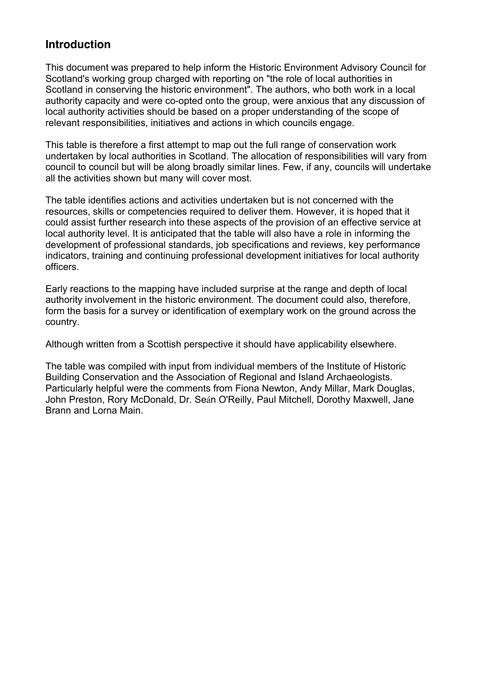## **Introduction**

This document was prepared to help inform the Historic Environment Advisory Council for Scotland's working group charged with reporting on "the role of local authorities in Scotland in conserving the historic environment". The authors, who both work in a local authority capacity and were co-opted onto the group, were anxious that any discussion of local authority activities should be based on a proper understanding of the scope of relevant responsibilities, initiatives and actions in which councils engage.

This table is therefore a first attempt to map out the full range of conservation work undertaken by local authorities in Scotland. The allocation of responsibilities will vary from council to council but will be along broadly similar lines. Few, if any, councils will undertake all the activities shown but many will cover most.

The table identifies actions and activities undertaken but is not concerned with the resources, skills or competencies required to deliver them. However, it is hoped that it could assist further research into these aspects of the provision of an effective service at local authority level. It is anticipated that the table will also have a role in informing the development of professional standards, job specifications and reviews, key performance indicators, training and continuing professional development initiatives for local authority officers.

Early reactions to the mapping have included surprise at the range and depth of local authority involvement in the historic environment. The document could also, therefore, form the basis for a survey or identification of exemplary work on the ground across the country.

Although written from a Scottish perspective it should have applicability elsewhere.

The table was compiled with input from individual members of the Institute of Historic Building Conservation and the Association of Regional and Island Archaeologists. Particularly helpful were the comments from Fiona Newton, Andy Millar, Mark Douglas, John Preston, Rory McDonald, Dr. Seán O'Reilly, Paul Mitchell, Dorothy Maxwell, Jane Brann and Lorna Main.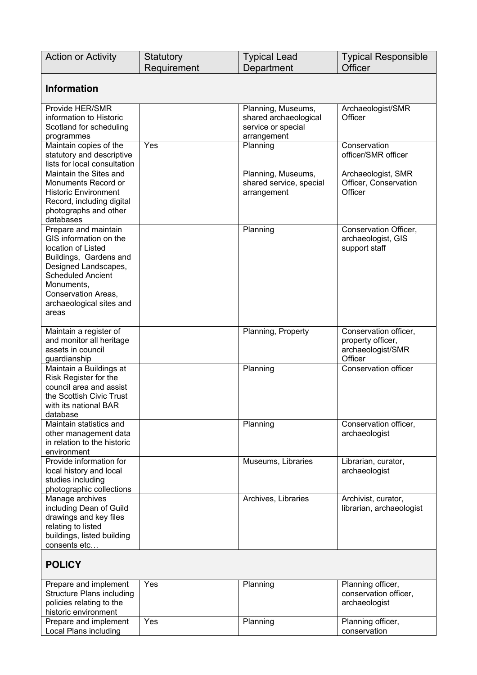| <b>Action or Activity</b>        | Statutory<br>Requirement | <b>Typical Lead</b><br>Department | <b>Typical Responsible</b><br>Officer |  |
|----------------------------------|--------------------------|-----------------------------------|---------------------------------------|--|
|                                  |                          |                                   |                                       |  |
| <b>Information</b>               |                          |                                   |                                       |  |
| Provide HER/SMR                  |                          | Planning, Museums,                | Archaeologist/SMR                     |  |
| information to Historic          |                          | shared archaeological             | Officer                               |  |
| Scotland for scheduling          |                          | service or special                |                                       |  |
| programmes                       |                          | arrangement                       |                                       |  |
| Maintain copies of the           | Yes                      | Planning                          | Conservation                          |  |
| statutory and descriptive        |                          |                                   | officer/SMR officer                   |  |
| lists for local consultation     |                          |                                   |                                       |  |
| Maintain the Sites and           |                          | Planning, Museums,                | Archaeologist, SMR                    |  |
| Monuments Record or              |                          | shared service, special           | Officer, Conservation                 |  |
| <b>Historic Environment</b>      |                          | arrangement                       | Officer                               |  |
| Record, including digital        |                          |                                   |                                       |  |
| photographs and other            |                          |                                   |                                       |  |
| databases                        |                          |                                   |                                       |  |
| Prepare and maintain             |                          | Planning                          | Conservation Officer,                 |  |
| GIS information on the           |                          |                                   | archaeologist, GIS                    |  |
| location of Listed               |                          |                                   | support staff                         |  |
| Buildings, Gardens and           |                          |                                   |                                       |  |
| Designed Landscapes,             |                          |                                   |                                       |  |
| <b>Scheduled Ancient</b>         |                          |                                   |                                       |  |
| Monuments,                       |                          |                                   |                                       |  |
| Conservation Areas,              |                          |                                   |                                       |  |
| archaeological sites and         |                          |                                   |                                       |  |
| areas                            |                          |                                   |                                       |  |
|                                  |                          |                                   |                                       |  |
| Maintain a register of           |                          | Planning, Property                | Conservation officer,                 |  |
| and monitor all heritage         |                          |                                   | property officer,                     |  |
| assets in council                |                          |                                   | archaeologist/SMR                     |  |
| guardianship                     |                          |                                   | Officer                               |  |
| Maintain a Buildings at          |                          | Planning                          | <b>Conservation officer</b>           |  |
| Risk Register for the            |                          |                                   |                                       |  |
| council area and assist          |                          |                                   |                                       |  |
| the Scottish Civic Trust         |                          |                                   |                                       |  |
| with its national BAR            |                          |                                   |                                       |  |
| database                         |                          |                                   |                                       |  |
| Maintain statistics and          |                          | Planning                          | Conservation officer,                 |  |
| other management data            |                          |                                   | archaeologist                         |  |
| in relation to the historic      |                          |                                   |                                       |  |
| environment                      |                          |                                   |                                       |  |
| Provide information for          |                          | Museums, Libraries                | Librarian, curator,                   |  |
| local history and local          |                          |                                   | archaeologist                         |  |
| studies including                |                          |                                   |                                       |  |
| photographic collections         |                          |                                   |                                       |  |
| Manage archives                  |                          | Archives, Libraries               | Archivist, curator,                   |  |
| including Dean of Guild          |                          |                                   | librarian, archaeologist              |  |
| drawings and key files           |                          |                                   |                                       |  |
| relating to listed               |                          |                                   |                                       |  |
| buildings, listed building       |                          |                                   |                                       |  |
| consents etc                     |                          |                                   |                                       |  |
| <b>POLICY</b>                    |                          |                                   |                                       |  |
|                                  |                          |                                   |                                       |  |
| Prepare and implement            | Yes                      | Planning                          | Planning officer,                     |  |
| <b>Structure Plans including</b> |                          |                                   | conservation officer,                 |  |
| policies relating to the         |                          |                                   | archaeologist                         |  |
| historic environment             |                          |                                   |                                       |  |
| Prepare and implement            | Yes                      | Planning                          | Planning officer,                     |  |
| Local Plans including            |                          |                                   | conservation                          |  |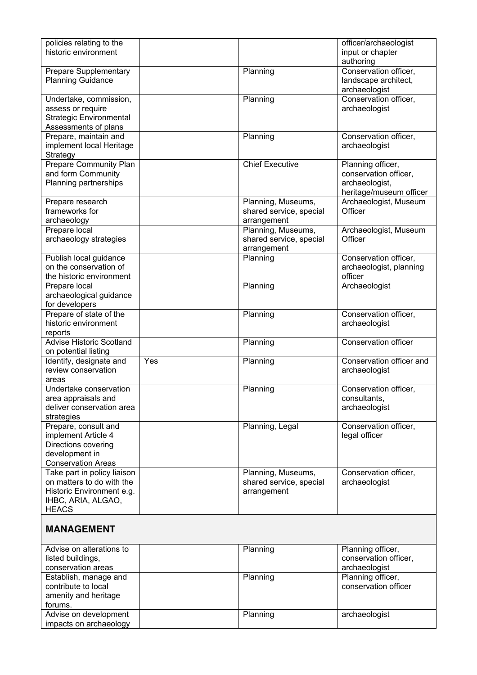| policies relating to the<br>historic environment                                                                            |     |                                                              | officer/archaeologist<br>input or chapter<br>authoring                                  |
|-----------------------------------------------------------------------------------------------------------------------------|-----|--------------------------------------------------------------|-----------------------------------------------------------------------------------------|
| <b>Prepare Supplementary</b><br><b>Planning Guidance</b>                                                                    |     | Planning                                                     | Conservation officer,<br>landscape architect,<br>archaeologist                          |
| Undertake, commission,<br>assess or require<br><b>Strategic Environmental</b>                                               |     | Planning                                                     | Conservation officer,<br>archaeologist                                                  |
| Assessments of plans                                                                                                        |     |                                                              |                                                                                         |
| Prepare, maintain and<br>implement local Heritage<br>Strategy                                                               |     | Planning                                                     | Conservation officer,<br>archaeologist                                                  |
| Prepare Community Plan<br>and form Community<br>Planning partnerships                                                       |     | <b>Chief Executive</b>                                       | Planning officer,<br>conservation officer,<br>archaeologist,<br>heritage/museum officer |
| Prepare research<br>frameworks for<br>archaeology                                                                           |     | Planning, Museums,<br>shared service, special<br>arrangement | Archaeologist, Museum<br>Officer                                                        |
| Prepare local<br>archaeology strategies                                                                                     |     | Planning, Museums,<br>shared service, special<br>arrangement | Archaeologist, Museum<br>Officer                                                        |
| Publish local guidance<br>on the conservation of<br>the historic environment                                                |     | Planning                                                     | Conservation officer,<br>archaeologist, planning<br>officer                             |
| Prepare local<br>archaeological guidance<br>for developers                                                                  |     | Planning                                                     | Archaeologist                                                                           |
| Prepare of state of the<br>historic environment<br>reports                                                                  |     | Planning                                                     | Conservation officer,<br>archaeologist                                                  |
| <b>Advise Historic Scotland</b><br>on potential listing                                                                     |     | Planning                                                     | <b>Conservation officer</b>                                                             |
| Identify, designate and<br>review conservation<br>areas                                                                     | Yes | Planning                                                     | Conservation officer and<br>archaeologist                                               |
| Undertake conservation<br>area appraisals and<br>deliver conservation area<br>strategies                                    |     | Planning                                                     | Conservation officer,<br>consultants,<br>archaeologist                                  |
| Prepare, consult and<br>implement Article 4<br>Directions covering<br>development in<br><b>Conservation Areas</b>           |     | Planning, Legal                                              | Conservation officer,<br>legal officer                                                  |
| Take part in policy liaison<br>on matters to do with the<br>Historic Environment e.g.<br>IHBC, ARIA, ALGAO,<br><b>HEACS</b> |     | Planning, Museums,<br>shared service, special<br>arrangement | Conservation officer,<br>archaeologist                                                  |
| <b>MANAGEMENT</b>                                                                                                           |     |                                                              |                                                                                         |
| Advise on alterations to<br>listed buildings,<br>conservation areas                                                         |     | Planning                                                     | Planning officer,<br>conservation officer,<br>archaeologist                             |
| Establish, manage and<br>contribute to local<br>amenity and heritage<br>forums.                                             |     | Planning                                                     | Planning officer,<br>conservation officer                                               |

Planning archaeologist

Advise on development impacts on archaeology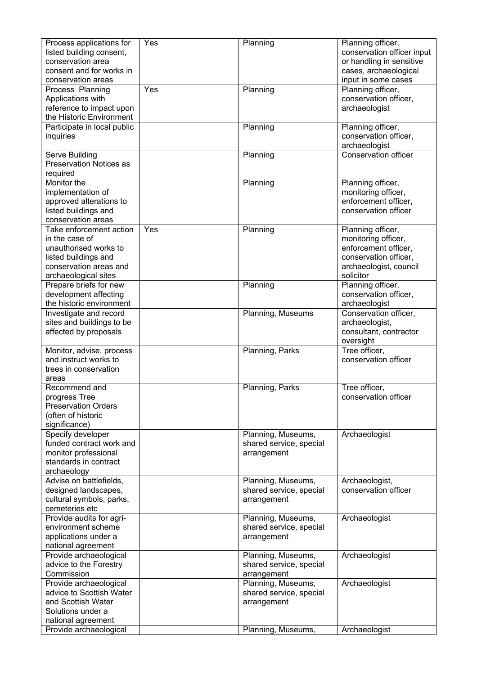| Process applications for                           | Yes | Planning                | Planning officer,                        |
|----------------------------------------------------|-----|-------------------------|------------------------------------------|
| listed building consent,                           |     |                         | conservation officer input               |
| conservation area                                  |     |                         | or handling in sensitive                 |
| consent and for works in                           |     |                         | cases, archaeological                    |
| conservation areas                                 |     |                         | input in some cases                      |
| Process Planning                                   | Yes | Planning                | Planning officer,                        |
| Applications with                                  |     |                         | conservation officer,                    |
| reference to impact upon                           |     |                         | archaeologist                            |
| the Historic Environment                           |     |                         |                                          |
| Participate in local public                        |     | Planning                | Planning officer,                        |
| inquiries                                          |     |                         | conservation officer,                    |
|                                                    |     |                         | archaeologist                            |
| Serve Building                                     |     | Planning                | <b>Conservation officer</b>              |
| <b>Preservation Notices as</b>                     |     |                         |                                          |
| required                                           |     |                         |                                          |
| Monitor the                                        |     | Planning                | Planning officer,                        |
| implementation of                                  |     |                         | monitoring officer,                      |
| approved alterations to                            |     |                         | enforcement officer,                     |
| listed buildings and                               |     |                         | conservation officer                     |
| conservation areas                                 |     |                         |                                          |
| Take enforcement action                            | Yes | Planning                | Planning officer,                        |
| in the case of                                     |     |                         | monitoring officer,                      |
| unauthorised works to                              |     |                         | enforcement officer,                     |
| listed buildings and                               |     |                         | conservation officer,                    |
| conservation areas and                             |     |                         | archaeologist, council                   |
| archaeological sites                               |     |                         | solicitor                                |
| Prepare briefs for new                             |     | Planning                | Planning officer,                        |
| development affecting                              |     |                         | conservation officer,                    |
| the historic environment                           |     |                         | archaeologist                            |
| Investigate and record                             |     | Planning, Museums       | Conservation officer,                    |
| sites and buildings to be<br>affected by proposals |     |                         | archaeologist,<br>consultant, contractor |
|                                                    |     |                         | oversight                                |
| Monitor, advise, process                           |     | Planning, Parks         | Tree officer.                            |
| and instruct works to                              |     |                         | conservation officer                     |
| trees in conservation                              |     |                         |                                          |
| areas                                              |     |                         |                                          |
| Recommend and                                      |     | Planning, Parks         | Tree officer,                            |
| progress Tree                                      |     |                         | conservation officer                     |
| <b>Preservation Orders</b>                         |     |                         |                                          |
| (often of historic                                 |     |                         |                                          |
| significance)                                      |     |                         |                                          |
| Specify developer                                  |     | Planning, Museums,      | Archaeologist                            |
| funded contract work and                           |     | shared service, special |                                          |
| monitor professional                               |     | arrangement             |                                          |
| standards in contract                              |     |                         |                                          |
| archaeology                                        |     |                         |                                          |
| Advise on battlefields,                            |     | Planning, Museums,      | Archaeologist,                           |
| designed landscapes,                               |     | shared service, special | conservation officer                     |
| cultural symbols, parks,                           |     | arrangement             |                                          |
| cemeteries etc                                     |     |                         |                                          |
| Provide audits for agri-                           |     | Planning, Museums,      | Archaeologist                            |
| environment scheme                                 |     | shared service, special |                                          |
| applications under a                               |     | arrangement             |                                          |
| national agreement                                 |     |                         |                                          |
| Provide archaeological                             |     | Planning, Museums,      | Archaeologist                            |
| advice to the Forestry                             |     | shared service, special |                                          |
| Commission                                         |     | arrangement             |                                          |
| Provide archaeological                             |     | Planning, Museums,      | Archaeologist                            |
| advice to Scottish Water                           |     | shared service, special |                                          |
| and Scottish Water                                 |     | arrangement             |                                          |
| Solutions under a                                  |     |                         |                                          |
| national agreement                                 |     |                         |                                          |
| Provide archaeological                             |     | Planning, Museums,      | Archaeologist                            |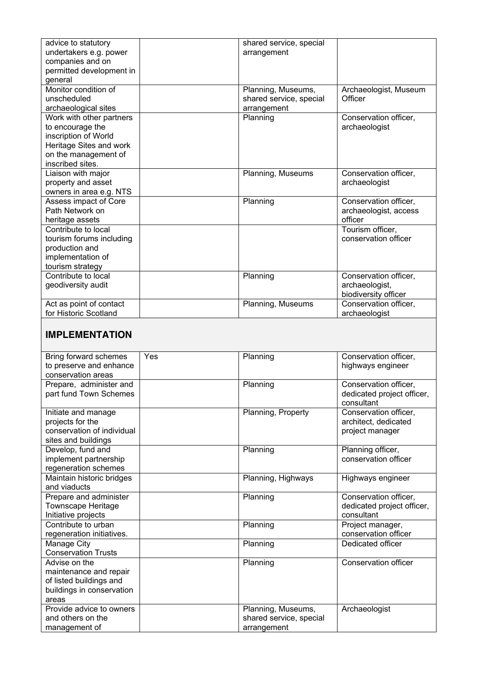| advice to statutory        |     | shared service, special |                            |
|----------------------------|-----|-------------------------|----------------------------|
| undertakers e.g. power     |     | arrangement             |                            |
| companies and on           |     |                         |                            |
| permitted development in   |     |                         |                            |
| general                    |     |                         |                            |
| Monitor condition of       |     | Planning, Museums,      | Archaeologist, Museum      |
| unscheduled                |     | shared service, special | Officer                    |
| archaeological sites       |     | arrangement             |                            |
| Work with other partners   |     | Planning                | Conservation officer,      |
| to encourage the           |     |                         | archaeologist              |
| inscription of World       |     |                         |                            |
| Heritage Sites and work    |     |                         |                            |
| on the management of       |     |                         |                            |
| inscribed sites.           |     |                         |                            |
| Liaison with major         |     | Planning, Museums       | Conservation officer,      |
| property and asset         |     |                         | archaeologist              |
| owners in area e.g. NTS    |     |                         |                            |
| Assess impact of Core      |     | Planning                | Conservation officer,      |
| Path Network on            |     |                         | archaeologist, access      |
| heritage assets            |     |                         | officer                    |
| Contribute to local        |     |                         | Tourism officer,           |
| tourism forums including   |     |                         | conservation officer       |
| production and             |     |                         |                            |
| implementation of          |     |                         |                            |
| tourism strategy           |     |                         |                            |
| Contribute to local        |     | Planning                | Conservation officer,      |
| geodiversity audit         |     |                         | archaeologist,             |
|                            |     |                         | biodiversity officer       |
| Act as point of contact    |     | Planning, Museums       | Conservation officer,      |
| for Historic Scotland      |     |                         | archaeologist              |
|                            |     |                         |                            |
|                            |     |                         |                            |
|                            |     |                         |                            |
| <b>IMPLEMENTATION</b>      |     |                         |                            |
|                            |     |                         |                            |
| Bring forward schemes      | Yes | Planning                | Conservation officer,      |
| to preserve and enhance    |     |                         | highways engineer          |
| conservation areas         |     |                         |                            |
| Prepare, administer and    |     | Planning                | Conservation officer,      |
| part fund Town Schemes     |     |                         | dedicated project officer, |
|                            |     |                         | consultant                 |
| Initiate and manage        |     | Planning, Property      | Conservation officer,      |
| projects for the           |     |                         | architect, dedicated       |
| conservation of individual |     |                         | project manager            |
| sites and buildings        |     |                         |                            |
| Develop, fund and          |     | Planning                | Planning officer,          |
| implement partnership      |     |                         | conservation officer       |
| regeneration schemes       |     |                         |                            |
| Maintain historic bridges  |     | Planning, Highways      | Highways engineer          |
| and viaducts               |     |                         |                            |
| Prepare and administer     |     | Planning                | Conservation officer,      |
| <b>Townscape Heritage</b>  |     |                         | dedicated project officer, |
| Initiative projects        |     |                         | consultant                 |
| Contribute to urban        |     | Planning                | Project manager,           |
| regeneration initiatives.  |     |                         | conservation officer       |
| Manage City                |     | Planning                | Dedicated officer          |
| <b>Conservation Trusts</b> |     |                         |                            |
| Advise on the              |     | Planning                | Conservation officer       |
| maintenance and repair     |     |                         |                            |
| of listed buildings and    |     |                         |                            |
| buildings in conservation  |     |                         |                            |
| areas                      |     |                         |                            |
| Provide advice to owners   |     | Planning, Museums,      | Archaeologist              |
| and others on the          |     | shared service, special |                            |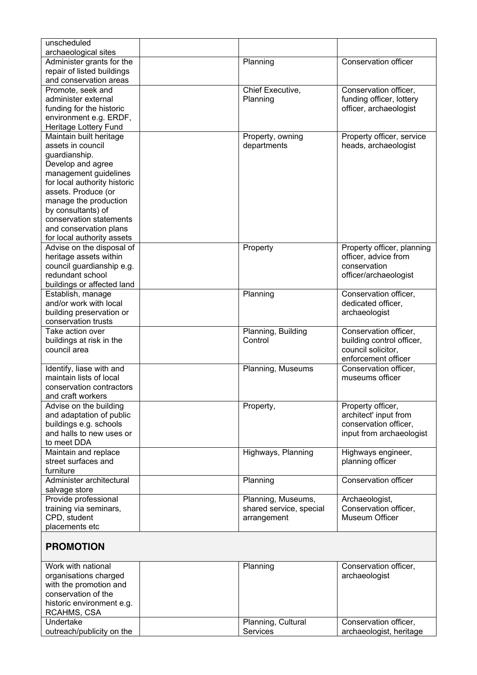| unscheduled<br>archaeological sites           |                         |                             |
|-----------------------------------------------|-------------------------|-----------------------------|
| Administer grants for the                     | Planning                | <b>Conservation officer</b> |
| repair of listed buildings                    |                         |                             |
| and conservation areas                        |                         |                             |
| Promote, seek and                             | Chief Executive,        | Conservation officer,       |
| administer external                           | Planning                | funding officer, lottery    |
| funding for the historic                      |                         | officer, archaeologist      |
| environment e.g. ERDF,                        |                         |                             |
| Heritage Lottery Fund                         |                         |                             |
| Maintain built heritage                       | Property, owning        | Property officer, service   |
| assets in council                             | departments             | heads, archaeologist        |
| guardianship.                                 |                         |                             |
| Develop and agree                             |                         |                             |
| management guidelines                         |                         |                             |
| for local authority historic                  |                         |                             |
| assets. Produce (or                           |                         |                             |
| manage the production                         |                         |                             |
|                                               |                         |                             |
| by consultants) of<br>conservation statements |                         |                             |
|                                               |                         |                             |
| and conservation plans                        |                         |                             |
| for local authority assets                    |                         |                             |
| Advise on the disposal of                     | Property                | Property officer, planning  |
| heritage assets within                        |                         | officer, advice from        |
| council guardianship e.g.                     |                         | conservation                |
| redundant school                              |                         | officer/archaeologist       |
| buildings or affected land                    |                         |                             |
| Establish, manage                             | Planning                | Conservation officer,       |
| and/or work with local                        |                         | dedicated officer,          |
| building preservation or                      |                         | archaeologist               |
| conservation trusts                           |                         |                             |
| Take action over                              | Planning, Building      | Conservation officer,       |
| buildings at risk in the                      | Control                 | building control officer,   |
| council area                                  |                         | council solicitor,          |
|                                               |                         | enforcement officer         |
| Identify, liase with and                      | Planning, Museums       | Conservation officer,       |
| maintain lists of local                       |                         | museums officer             |
| conservation contractors                      |                         |                             |
| and craft workers                             |                         |                             |
| Advise on the building                        | Property,               | Property officer,           |
| and adaptation of public                      |                         | architect' input from       |
| buildings e.g. schools                        |                         | conservation officer,       |
| and halls to new uses or                      |                         | input from archaeologist    |
| to meet DDA                                   |                         |                             |
| Maintain and replace                          | Highways, Planning      | Highways engineer,          |
| street surfaces and                           |                         | planning officer            |
| furniture                                     |                         |                             |
| Administer architectural                      | Planning                | <b>Conservation officer</b> |
| salvage store                                 |                         |                             |
| Provide professional                          | Planning, Museums,      | Archaeologist,              |
| training via seminars,                        | shared service, special | Conservation officer,       |
| CPD, student                                  | arrangement             | Museum Officer              |
| placements etc                                |                         |                             |
|                                               |                         |                             |
| <b>PROMOTION</b>                              |                         |                             |
|                                               |                         |                             |
| Work with national                            | Planning                | Conservation officer,       |
| organisations charged                         |                         | archaeologist               |
| with the promotion and                        |                         |                             |
| conservation of the                           |                         |                             |
| historic environment e.g.                     |                         |                             |

Planning, Cultural

Conservation officer, archaeologist, heritage

Services

RCAHMS, CSA

outreach/publicity on the

Undertake